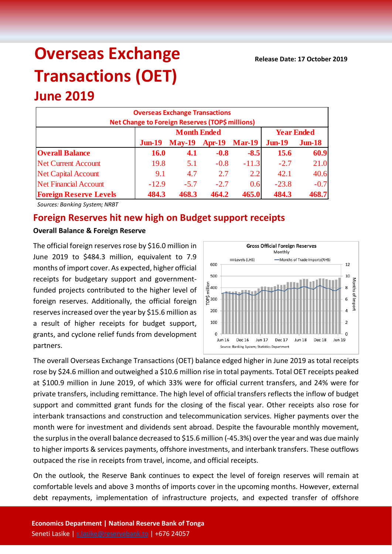# **Overseas Exchange Transactions (OET)**

## **June 2019**

| <b>Overseas Exchange Transactions</b><br>Net Change to Foreign Reserves (TOP\$ millions) |             |                    |                   |               |             |           |  |  |  |
|------------------------------------------------------------------------------------------|-------------|--------------------|-------------------|---------------|-------------|-----------|--|--|--|
|                                                                                          |             | <b>Month Ended</b> | <b>Year Ended</b> |               |             |           |  |  |  |
|                                                                                          | $J$ un-19   | <b>May-19</b>      | <b>Apr-19</b>     | <b>Mar-19</b> | $J$ un-19   | $J$ un-18 |  |  |  |
| <b>Overall Balance</b>                                                                   | <b>16.0</b> | 4.1                | $-0.8$            | $-8.5$        | <b>15.6</b> | 60.9      |  |  |  |
| <b>Net Current Account</b>                                                               | 19.8        | 5.1                | $-0.8$            | $-11.3$       | $-2.7$      | 21.0      |  |  |  |
| <b>Net Capital Account</b>                                                               | 9.1         | 4.7                | 2.7               | 2.2           | 42.1        | 40.6      |  |  |  |
| <b>Net Financial Account</b>                                                             | $-12.9$     | $-5.7$             | $-2.7$            | 0.6           | $-23.8$     | $-0.7$    |  |  |  |
| <b>Foreign Reserve Levels</b>                                                            | 484.3       | 468.3              | 464.2             | 465.0         | 484.3       | 468.7     |  |  |  |

*Sources: Banking System; NRBT*

### **Foreign Reserves hit new high on Budget support receipts**

#### **Overall Balance & Foreign Reserve**

The official foreign reserves rose by \$16.0 million in June 2019 to \$484.3 million, equivalent to 7.9 months of import cover. As expected, higher official receipts for budgetary support and governmentfunded projects contributed to the higher level of foreign reserves. Additionally, the official foreign reserves increased over the year by \$15.6 million as a result of higher receipts for budget support, grants, and cyclone relief funds from development partners.



The overall Overseas Exchange Transactions (OET) balance edged higher in June 2019 as total receipts rose by \$24.6 million and outweighed a \$10.6 million rise in total payments. Total OET receipts peaked at \$100.9 million in June 2019, of which 33% were for official current transfers, and 24% were for private transfers, including remittance. The high level of official transfers reflects the inflow of budget support and committed grant funds for the closing of the fiscal year. Other receipts also rose for interbank transactions and construction and telecommunication services. Higher payments over the month were for investment and dividends sent abroad. Despite the favourable monthly movement, the surplus in the overall balance decreased to \$15.6 million (-45.3%) over the year and was due mainly to higher imports & services payments, offshore investments, and interbank transfers. These outflows outpaced the rise in receipts from travel, income, and official receipts.

On the outlook, the Reserve Bank continues to expect the level of foreign reserves will remain at comfortable levels and above 3 months of imports cover in the upcoming months. However, external debt repayments, implementation of infrastructure projects, and expected transfer of offshore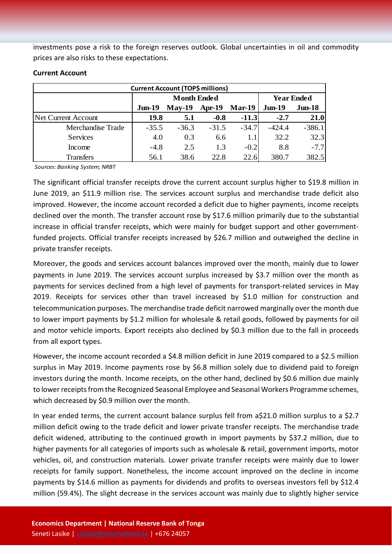investments pose a risk to the foreign reserves outlook. Global uncertainties in oil and commodity prices are also risks to these expectations.

| <b>Current Account (TOP\$ millions)</b> |                    |          |          |               |                   |           |  |  |
|-----------------------------------------|--------------------|----------|----------|---------------|-------------------|-----------|--|--|
|                                         | <b>Month Ended</b> |          |          |               | <b>Year Ended</b> |           |  |  |
|                                         | $Jun-19$           | $May-19$ | $Apr-19$ | <b>Mar-19</b> | <b>Jun-19</b>     | $J$ un-18 |  |  |
| Net Current Account                     | 19.8               | 5.1      | $-0.8$   | $-11.3$       | $-2.7$            | 21.0      |  |  |
| Merchandise Trade                       | $-35.5$            | $-36.3$  | $-31.5$  | $-34.7$       | $-424.4$          | $-386.1$  |  |  |
| <b>Services</b>                         | 4.0                | 0.3      | 6.6      | 1.1           | 32.2              | 32.3      |  |  |
| Income                                  | $-4.8$             | 2.5      | 1.3      | $-0.2$        | 8.8               | $-7.7$    |  |  |
| <b>Transfers</b>                        | 56.1               | 38.6     | 22.8     | 22.6          | 380.7             | 382.5     |  |  |

#### **Current Account**

*Sources: Banking System; NRBT*

The significant official transfer receipts drove the current account surplus higher to \$19.8 million in June 2019, an \$11.9 million rise. The services account surplus and merchandise trade deficit also improved. However, the income account recorded a deficit due to higher payments, income receipts declined over the month. The transfer account rose by \$17.6 million primarily due to the substantial increase in official transfer receipts, which were mainly for budget support and other governmentfunded projects. Official transfer receipts increased by \$26.7 million and outweighed the decline in private transfer receipts.

Moreover, the goods and services account balances improved over the month, mainly due to lower payments in June 2019. The services account surplus increased by \$3.7 million over the month as payments for services declined from a high level of payments for transport-related services in May 2019. Receipts for services other than travel increased by \$1.0 million for construction and telecommunication purposes. The merchandise trade deficit narrowed marginally over the month due to lower import payments by \$1.2 million for wholesale & retail goods, followed by payments for oil and motor vehicle imports. Export receipts also declined by \$0.3 million due to the fall in proceeds from all export types.

However, the income account recorded a \$4.8 million deficit in June 2019 compared to a \$2.5 million surplus in May 2019. Income payments rose by \$6.8 million solely due to dividend paid to foreign investors during the month. Income receipts, on the other hand, declined by \$0.6 million due mainly to lower receipts from the Recognized Seasonal Employee and Seasonal Workers Programme schemes, which decreased by \$0.9 million over the month.

In year ended terms, the current account balance surplus fell from a\$21.0 million surplus to a \$2.7 million deficit owing to the trade deficit and lower private transfer receipts. The merchandise trade deficit widened, attributing to the continued growth in import payments by \$37.2 million, due to higher payments for all categories of imports such as wholesale & retail, government imports, motor vehicles, oil, and construction materials. Lower private transfer receipts were mainly due to lower receipts for family support. Nonetheless, the income account improved on the decline in income payments by \$14.6 million as payments for dividends and profits to overseas investors fell by \$12.4 million (59.4%). The slight decrease in the services account was mainly due to slightly higher service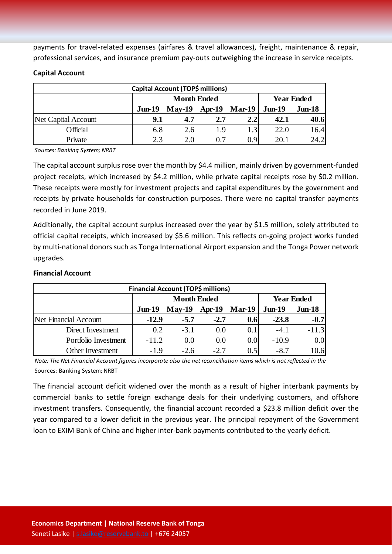payments for travel-related expenses (airfares & travel allowances), freight, maintenance & repair, professional services, and insurance premium pay-outs outweighing the increase in service receipts.

| Capital Account (TOP\$ millions) |                    |          |          |               |                   |           |  |  |
|----------------------------------|--------------------|----------|----------|---------------|-------------------|-----------|--|--|
|                                  | <b>Month Ended</b> |          |          |               | <b>Year Ended</b> |           |  |  |
|                                  | $Jun-19$           | $May-19$ | $Apr-19$ | <b>Mar-19</b> | $Jun-19$          | $J$ un-18 |  |  |
| <b>Net Capital Account</b>       | 9.1                | 4.7      | 2.7      | 2.21          | 42.1              | 40.6      |  |  |
| Official                         | 6.8                | 2.6      | 1.9      | 1.3           | 22.0              | 16.4      |  |  |
| Private                          | 2.3                | 2.0      | በ 7      | 0.9           | 20.1              | 24.2      |  |  |

#### **Capital Account**

*Sources: Banking System; NRBT*

The capital account surplus rose over the month by \$4.4 million, mainly driven by government-funded project receipts, which increased by \$4.2 million, while private capital receipts rose by \$0.2 million. These receipts were mostly for investment projects and capital expenditures by the government and receipts by private households for construction purposes. There were no capital transfer payments recorded in June 2019.

Additionally, the capital account surplus increased over the year by \$1.5 million, solely attributed to official capital receipts, which increased by \$5.6 million. This reflects on-going project works funded by multi-national donors such as Tonga International Airport expansion and the Tonga Power network upgrades.

#### **Financial Account**

| <b>Financial Account (TOP\$ millions)</b> |                    |          |          |                  |                   |          |  |  |  |
|-------------------------------------------|--------------------|----------|----------|------------------|-------------------|----------|--|--|--|
|                                           | <b>Month Ended</b> |          |          |                  | <b>Year Ended</b> |          |  |  |  |
|                                           | $Jun-19$           | $Mav-19$ | $Apr-19$ | $Mar-19$         | $Jun-19$          | $Jun-18$ |  |  |  |
| Net Financial Account                     | $-12.9$            | $-5.7$   | $-2.7$   | 0.6              | $-23.8$           | $-0.7$   |  |  |  |
| Direct Investment                         | 0.2                | $-3.1$   | 0.0      | 0.1              | $-4.1$            | $-11.3$  |  |  |  |
| Portfolio Investment                      | $-11.2$            | 0.0      | 0.0      | 0.0 <sub>l</sub> | $-10.9$           | 0.0      |  |  |  |
| Other Investment                          | $-1.9$             | $-2.6$   | $-2.7$   | 0.5              | $-8.7$            | 10.6     |  |  |  |

*Note: The Net Financial Account figures incorporate also the net reconcilliation items which is not reflected in the*  Sources: Banking System; NRBT

The financial account deficit widened over the month as a result of higher interbank payments by commercial banks to settle foreign exchange deals for their underlying customers, and offshore investment transfers. Consequently, the financial account recorded a \$23.8 million deficit over the year compared to a lower deficit in the previous year. The principal repayment of the Government loan to EXIM Bank of China and higher inter-bank payments contributed to the yearly deficit.